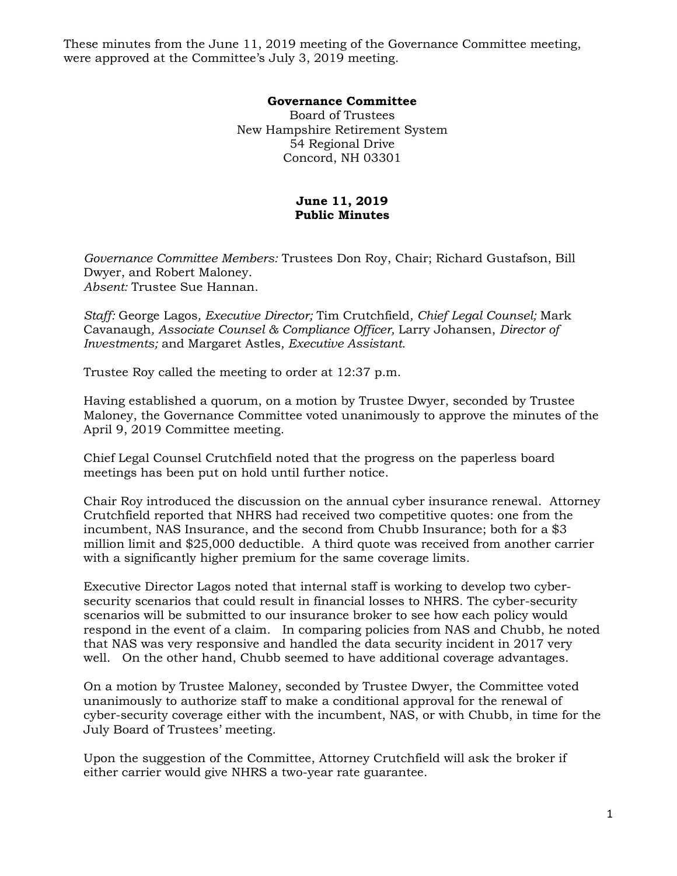These minutes from the June 11, 2019 meeting of the Governance Committee meeting, were approved at the Committee's July 3, 2019 meeting.

## **Governance Committee**

Board of Trustees New Hampshire Retirement System 54 Regional Drive Concord, NH 03301

## **June 11, 2019 Public Minutes**

*Governance Committee Members:* Trustees Don Roy, Chair; Richard Gustafson, Bill Dwyer, and Robert Maloney. *Absent:* Trustee Sue Hannan.

*Staff:* George Lagos*, Executive Director;* Tim Crutchfield*, Chief Legal Counsel;* Mark Cavanaugh*, Associate Counsel & Compliance Officer,* Larry Johansen, *Director of Investments;* and Margaret Astles*, Executive Assistant.* 

Trustee Roy called the meeting to order at 12:37 p.m.

Having established a quorum, on a motion by Trustee Dwyer, seconded by Trustee Maloney, the Governance Committee voted unanimously to approve the minutes of the April 9, 2019 Committee meeting.

Chief Legal Counsel Crutchfield noted that the progress on the paperless board meetings has been put on hold until further notice.

Chair Roy introduced the discussion on the annual cyber insurance renewal. Attorney Crutchfield reported that NHRS had received two competitive quotes: one from the incumbent, NAS Insurance, and the second from Chubb Insurance; both for a \$3 million limit and \$25,000 deductible. A third quote was received from another carrier with a significantly higher premium for the same coverage limits.

Executive Director Lagos noted that internal staff is working to develop two cybersecurity scenarios that could result in financial losses to NHRS. The cyber-security scenarios will be submitted to our insurance broker to see how each policy would respond in the event of a claim. In comparing policies from NAS and Chubb, he noted that NAS was very responsive and handled the data security incident in 2017 very well. On the other hand, Chubb seemed to have additional coverage advantages.

On a motion by Trustee Maloney, seconded by Trustee Dwyer, the Committee voted unanimously to authorize staff to make a conditional approval for the renewal of cyber-security coverage either with the incumbent, NAS, or with Chubb, in time for the July Board of Trustees' meeting.

Upon the suggestion of the Committee, Attorney Crutchfield will ask the broker if either carrier would give NHRS a two-year rate guarantee.